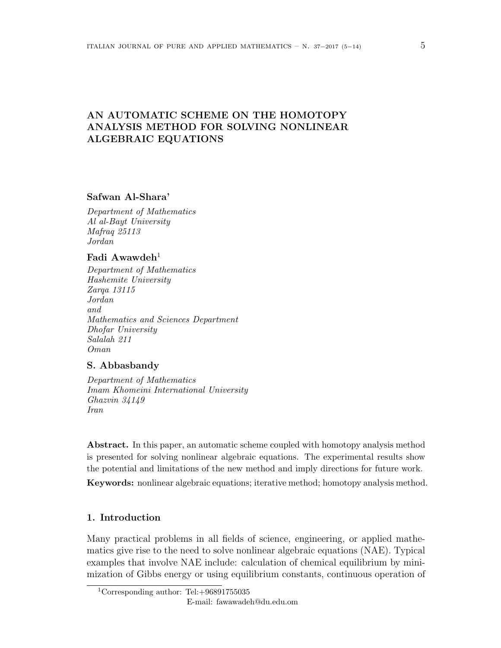# **AN AUTOMATIC SCHEME ON THE HOMOTOPY ANALYSIS METHOD FOR SOLVING NONLINEAR ALGEBRAIC EQUATIONS**

## **Safwan Al-Shara'**

*Department of Mathematics Al al-Bayt University Mafraq 25113 Jordan*

# **Fadi Awawdeh**<sup>1</sup>

*Department of Mathematics Hashemite University Zarqa 13115 Jordan and Mathematics and Sciences Department Dhofar University Salalah 211 Oman*

### **S. Abbasbandy**

*Department of Mathematics Imam Khomeini International University Ghazvin 34149 Iran*

**Abstract.** In this paper, an automatic scheme coupled with homotopy analysis method is presented for solving nonlinear algebraic equations. The experimental results show the potential and limitations of the new method and imply directions for future work.

**Keywords:** nonlinear algebraic equations; iterative method; homotopy analysis method.

# **1. Introduction**

Many practical problems in all fields of science, engineering, or applied mathematics give rise to the need to solve nonlinear algebraic equations (NAE). Typical examples that involve NAE include: calculation of chemical equilibrium by minimization of Gibbs energy or using equilibrium constants, continuous operation of

<sup>1</sup>Corresponding author: Tel:+96891755035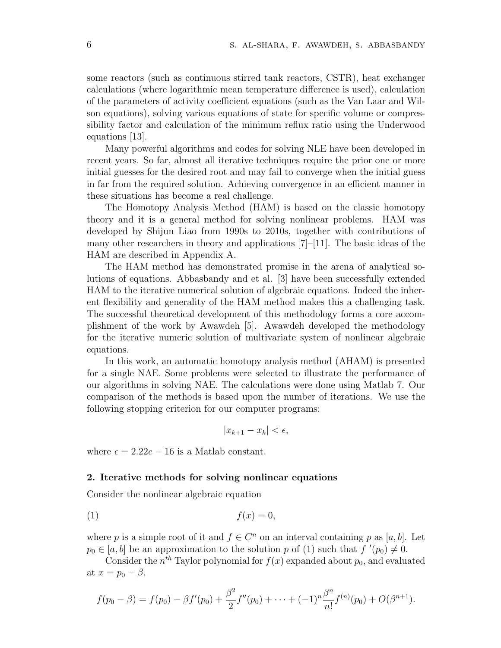some reactors (such as continuous stirred tank reactors, CSTR), heat exchanger calculations (where logarithmic mean temperature difference is used), calculation of the parameters of activity coefficient equations (such as the Van Laar and Wilson equations), solving various equations of state for specific volume or compressibility factor and calculation of the minimum reflux ratio using the Underwood equations [13].

Many powerful algorithms and codes for solving NLE have been developed in recent years. So far, almost all iterative techniques require the prior one or more initial guesses for the desired root and may fail to converge when the initial guess in far from the required solution. Achieving convergence in an efficient manner in these situations has become a real challenge.

The Homotopy Analysis Method (HAM) is based on the classic homotopy theory and it is a general method for solving nonlinear problems. HAM was developed by Shijun Liao from 1990s to 2010s, together with contributions of many other researchers in theory and applications  $[7]-[11]$ . The basic ideas of the HAM are described in Appendix A.

The HAM method has demonstrated promise in the arena of analytical solutions of equations. Abbasbandy and et al. [3] have been successfully extended HAM to the iterative numerical solution of algebraic equations. Indeed the inherent flexibility and generality of the HAM method makes this a challenging task. The successful theoretical development of this methodology forms a core accomplishment of the work by Awawdeh [5]. Awawdeh developed the methodology for the iterative numeric solution of multivariate system of nonlinear algebraic equations.

In this work, an automatic homotopy analysis method (AHAM) is presented for a single NAE. Some problems were selected to illustrate the performance of our algorithms in solving NAE. The calculations were done using Matlab 7. Our comparison of the methods is based upon the number of iterations. We use the following stopping criterion for our computer programs:

$$
|x_{k+1} - x_k| < \epsilon,
$$

where  $\epsilon = 2.22e - 16$  is a Matlab constant.

#### **2. Iterative methods for solving nonlinear equations**

Consider the nonlinear algebraic equation

$$
(1) \t\t f(x) = 0,
$$

where *p* is a simple root of it and  $f \in C^n$  on an interval containing *p* as [a, b]. Let  $p_0 \in [a, b]$  be an approximation to the solution *p* of (1) such that  $f'(p_0) \neq 0$ .

Consider the  $n^{th}$  Taylor polynomial for  $f(x)$  expanded about  $p_0$ , and evaluated at  $x = p_0 - \beta$ ,

$$
f(p_0 - \beta) = f(p_0) - \beta f'(p_0) + \frac{\beta^2}{2} f''(p_0) + \cdots + (-1)^n \frac{\beta^n}{n!} f^{(n)}(p_0) + O(\beta^{n+1}).
$$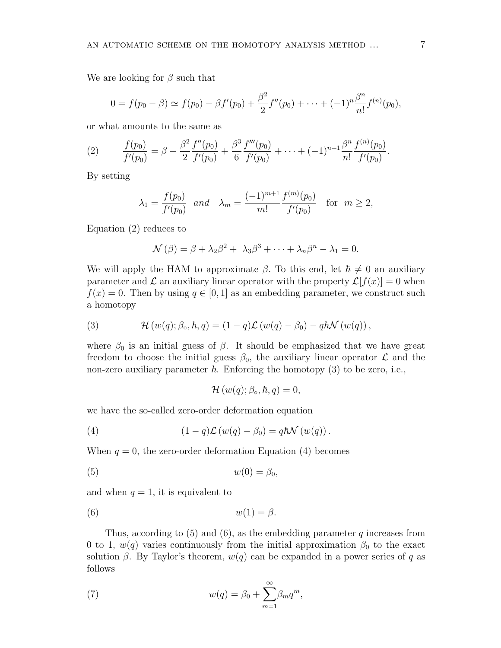We are looking for *β* such that

$$
0 = f(p_0 - \beta) \simeq f(p_0) - \beta f'(p_0) + \frac{\beta^2}{2} f''(p_0) + \cdots + (-1)^n \frac{\beta^n}{n!} f^{(n)}(p_0),
$$

or what amounts to the same as

(2) 
$$
\frac{f(p_0)}{f'(p_0)} = \beta - \frac{\beta^2}{2} \frac{f''(p_0)}{f'(p_0)} + \frac{\beta^3}{6} \frac{f'''(p_0)}{f'(p_0)} + \cdots + (-1)^{n+1} \frac{\beta^n}{n!} \frac{f^{(n)}(p_0)}{f'(p_0)}.
$$

By setting

$$
\lambda_1 = \frac{f(p_0)}{f'(p_0)}
$$
 and  $\lambda_m = \frac{(-1)^{m+1}}{m!} \frac{f^{(m)}(p_0)}{f'(p_0)}$  for  $m \ge 2$ ,

Equation (2) reduces to

$$
\mathcal{N}(\beta) = \beta + \lambda_2 \beta^2 + \lambda_3 \beta^3 + \cdots + \lambda_n \beta^n - \lambda_1 = 0.
$$

We will apply the HAM to approximate  $\beta$ . To this end, let  $\hbar \neq 0$  an auxiliary parameter and  $\mathcal L$  an auxiliary linear operator with the property  $\mathcal L[f(x)] = 0$  when  $f(x) = 0$ . Then by using  $q \in [0, 1]$  as an embedding parameter, we construct such a homotopy

(3) 
$$
\mathcal{H}(w(q); \beta_{\circ}, \hbar, q) = (1-q)\mathcal{L}(w(q) - \beta_0) - q\hbar \mathcal{N}(w(q)),
$$

where  $\beta_0$  is an initial guess of  $\beta$ . It should be emphasized that we have great freedom to choose the initial guess  $\beta_0$ , the auxiliary linear operator  $\mathcal L$  and the non-zero auxiliary parameter  $\hbar$ . Enforcing the homotopy (3) to be zero, i.e.,

$$
\mathcal{H}(w(q); \beta_{\circ}, \hbar, q) = 0,
$$

we have the so-called zero-order deformation equation

(4) 
$$
(1-q)\mathcal{L}(w(q) - \beta_0) = q\hbar \mathcal{N}(w(q)).
$$

When  $q = 0$ , the zero-order deformation Equation (4) becomes

$$
(5) \t\t w(0) = \beta_0,
$$

and when  $q = 1$ , it is equivalent to

$$
(6) \t\t\t w(1) = \beta.
$$

Thus, according to (5) and (6), as the embedding parameter *q* increases from 0 to 1,  $w(q)$  varies continuously from the initial approximation  $\beta_0$  to the exact solution  $\beta$ . By Taylor's theorem,  $w(q)$  can be expanded in a power series of *q* as follows

(7) 
$$
w(q) = \beta_0 + \sum_{m=1}^{\infty} \beta_m q^m,
$$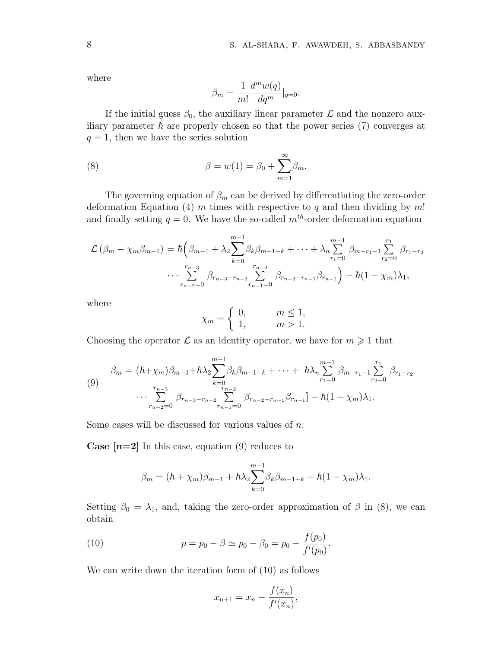where

$$
\beta_m = \frac{1}{m!} \frac{d^m w(q)}{dq^m} \Big|_{q=0}.
$$

If the initial guess  $\beta_0$ , the auxiliary linear parameter  $\mathcal L$  and the nonzero auxiliary parameter  $\hbar$  are properly chosen so that the power series (7) converges at  $q = 1$ , then we have the series solution

(8) 
$$
\beta = w(1) = \beta_0 + \sum_{m=1}^{\infty} \beta_m.
$$

The governing equation of  $\beta_m$  can be derived by differentiating the zero-order deformation Equation (4) *m* times with respective to *q* and then dividing by *m*! and finally setting  $q = 0$ . We have the so-called  $m<sup>th</sup>$ -order deformation equation

$$
\mathcal{L}(\beta_m - \chi_m \beta_{m-1}) = \hbar \left( \beta_{m-1} + \lambda_2 \sum_{k=0}^{m-1} \beta_k \beta_{m-1-k} + \dots + \lambda_n \sum_{r_1=0}^{m-1} \beta_{m-r_1-1} \sum_{r_2=0}^{r_1} \beta_{r_1-r_2} \cdots \sum_{r_{n-2}=0}^{r_{n-3}} \beta_{r_{n-3}-r_{n-2}} \sum_{r_{n-1}=0}^{r_{n-2}} \beta_{r_{n-2}-r_{n-1}} \beta_{r_{n-1}} \right) - \hbar (1 - \chi_m) \lambda_1,
$$

where

$$
\chi_m = \begin{cases} 0, & m \le 1, \\ 1, & m > 1. \end{cases}
$$

Choosing the operator  $\mathcal L$  as an identity operator, we have for  $m \geq 1$  that

$$
\beta_m = (\hbar + \chi_m)\beta_{m-1} + \hbar\lambda_2 \sum_{k=0}^{m-1} \beta_k \beta_{m-1-k} + \dots + \hbar\lambda_n \sum_{r_1=0}^{m-1} \beta_{m-r_1-1} \sum_{r_2=0}^{r_1} \beta_{r_1-r_2}
$$
  
\n
$$
\cdots \sum_{r_{n-2}=0}^{r_{n-3}} \beta_{r_{n-3}-r_{n-2}} \sum_{r_{n-1}=0}^{r_{n-2}} \beta_{r_{n-2}-r_{n-1}} \beta_{r_{n-1}} - \hbar(1-\chi_m)\lambda_1.
$$

Some cases will be discussed for various values of *n*:

**Case [n=2]** In this case, equation (9) reduces to

$$
\beta_m = (\hbar + \chi_m)\beta_{m-1} + \hbar\lambda_2 \sum_{k=0}^{m-1} \beta_k \beta_{m-1-k} - \hbar(1 - \chi_m)\lambda_1.
$$

Setting  $\beta_0 = \lambda_1$ , and, taking the zero-order approximation of  $\beta$  in (8), we can obtain

(10) 
$$
p = p_0 - \beta \simeq p_0 - \beta_0 = p_0 - \frac{f(p_0)}{f'(p_0)}.
$$

We can write down the iteration form of (10) as follows

$$
x_{n+1} = x_n - \frac{f(x_n)}{f'(x_n)},
$$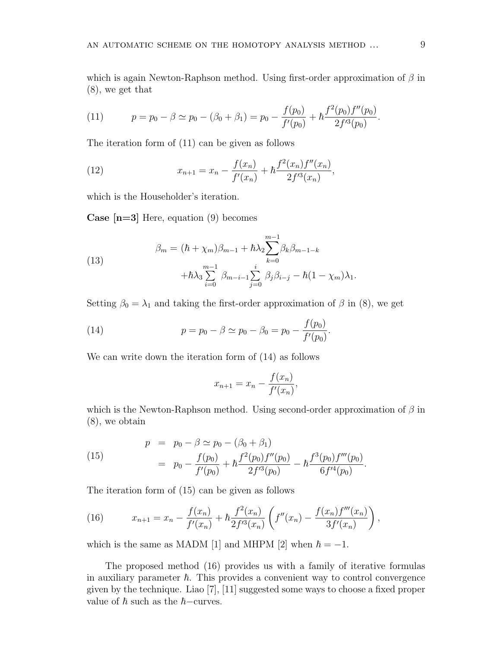which is again Newton-Raphson method. Using first-order approximation of *β* in (8), we get that

(11) 
$$
p = p_0 - \beta \simeq p_0 - (\beta_0 + \beta_1) = p_0 - \frac{f(p_0)}{f'(p_0)} + \hbar \frac{f^2(p_0)f''(p_0)}{2f'^3(p_0)}.
$$

The iteration form of (11) can be given as follows

(12) 
$$
x_{n+1} = x_n - \frac{f(x_n)}{f'(x_n)} + \hbar \frac{f^2(x_n)f''(x_n)}{2f'^3(x_n)},
$$

which is the Householder's iteration.

**Case [n=3]** Here, equation (9) becomes

(13) 
$$
\beta_m = (\hbar + \chi_m)\beta_{m-1} + \hbar\lambda_2 \sum_{k=0}^{m-1} \beta_k \beta_{m-1-k} + \hbar\lambda_3 \sum_{i=0}^{m-1} \beta_{m-i-1} \sum_{j=0}^i \beta_j \beta_{i-j} - \hbar(1 - \chi_m)\lambda_1.
$$

Setting  $\beta_0 = \lambda_1$  and taking the first-order approximation of  $\beta$  in (8), we get

(14) 
$$
p = p_0 - \beta \simeq p_0 - \beta_0 = p_0 - \frac{f(p_0)}{f'(p_0)}.
$$

We can write down the iteration form of (14) as follows

$$
x_{n+1} = x_n - \frac{f(x_n)}{f'(x_n)},
$$

which is the Newton-Raphson method. Using second-order approximation of *β* in (8), we obtain

(15) 
$$
p = p_0 - \beta \simeq p_0 - (\beta_0 + \beta_1) = p_0 - \frac{f(p_0)}{f'(p_0)} + \hbar \frac{f^2(p_0) f''(p_0)}{2f'^3(p_0)} - \hbar \frac{f^3(p_0) f'''(p_0)}{6f'^4(p_0)}.
$$

The iteration form of (15) can be given as follows

(16) 
$$
x_{n+1} = x_n - \frac{f(x_n)}{f'(x_n)} + \hbar \frac{f^2(x_n)}{2f'^3(x_n)} \left( f''(x_n) - \frac{f(x_n)f'''(x_n)}{3f'(x_n)} \right),
$$

which is the same as MADM [1] and MHPM [2] when  $\hbar = -1$ .

The proposed method (16) provides us with a family of iterative formulas in auxiliary parameter  $\hbar$ . This provides a convenient way to control convergence given by the technique. Liao [7], [11] suggested some ways to choose a fixed proper value of  $\hbar$  such as the  $\hbar$ −curves.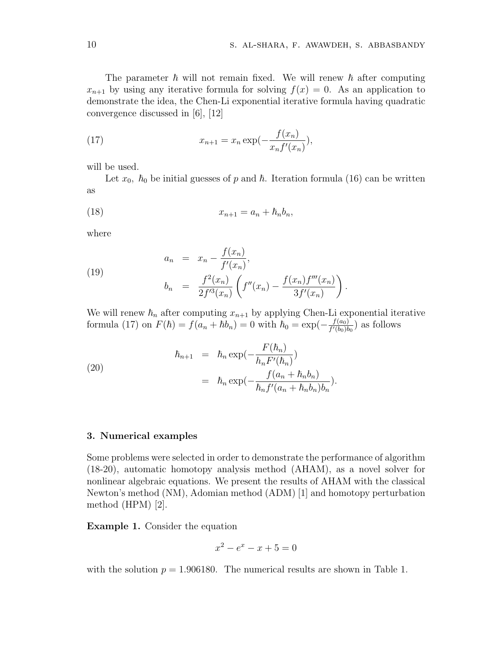The parameter  $\hbar$  will not remain fixed. We will renew  $\hbar$  after computing  $x_{n+1}$  by using any iterative formula for solving  $f(x) = 0$ . As an application to demonstrate the idea, the Chen-Li exponential iterative formula having quadratic convergence discussed in [6], [12]

(17) 
$$
x_{n+1} = x_n \exp(-\frac{f(x_n)}{x_n f'(x_n)}),
$$

will be used.

Let  $x_0$ ,  $\hbar_0$  be initial guesses of p and  $\hbar$ . Iteration formula (16) can be written as

$$
(18) \t\t\t x_{n+1} = a_n + \hbar_n b_n,
$$

where

(19) 
$$
a_n = x_n - \frac{f(x_n)}{f'(x_n)},
$$

$$
b_n = \frac{f^2(x_n)}{2f'^3(x_n)} \left( f''(x_n) - \frac{f(x_n)f'''(x_n)}{3f'(x_n)} \right).
$$

We will renew  $\hbar_n$  after computing  $x_{n+1}$  by applying Chen-Li exponential iterative formula (17) on  $F(\hbar) = f(a_n + \hbar b_n) = 0$  with  $\hbar_0 = \exp(-\frac{f(a_0)}{f'(b_0)\hbar})$  $\frac{f(a_0)}{f'(b_0)b_0}$  as follows

(20)  

$$
\hbar_{n+1} = \hbar_n \exp(-\frac{F(\hbar_n)}{h_n F'(\hbar_n)})
$$

$$
= \hbar_n \exp(-\frac{f(a_n + \hbar_n b_n)}{\hbar_n f'(a_n + \hbar_n b_n) b_n}).
$$

### **3. Numerical examples**

Some problems were selected in order to demonstrate the performance of algorithm (18-20), automatic homotopy analysis method (AHAM), as a novel solver for nonlinear algebraic equations. We present the results of AHAM with the classical Newton's method (NM), Adomian method (ADM) [1] and homotopy perturbation method (HPM) [2].

**Example 1.** Consider the equation

$$
x^2 - e^x - x + 5 = 0
$$

with the solution  $p = 1.906180$ . The numerical results are shown in Table 1.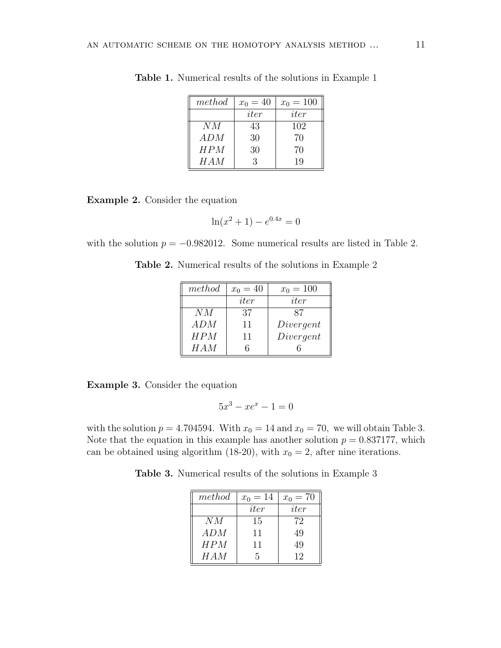| method | $x_0 = 40$ | $x_0 = 100$ |
|--------|------------|-------------|
|        | iter       | iter        |
| NM     | 43         | 102         |
| ADM    | 30         | 70          |
| HPM    | 30         | 70          |
| HAM    | 3          | 19          |

**Table 1.** Numerical results of the solutions in Example 1

**Example 2.** Consider the equation

$$
\ln(x^2 + 1) - e^{0.4x} = 0
$$

with the solution  $p = -0.982012$ . Some numerical results are listed in Table 2.

| method | $x_0 = 40$ | $x_0 = 100$ |
|--------|------------|-------------|
|        | iter       | iter        |
| NM     | 37         | 87          |
| ADM    | 11         | Divergent   |
| HPM    | 11         | Divergent   |
| HAM    |            |             |

**Table 2.** Numerical results of the solutions in Example 2

**Example 3.** Consider the equation

$$
5x^3 - xe^x - 1 = 0
$$

with the solution  $p = 4.704594$ . With  $x_0 = 14$  and  $x_0 = 70$ , we will obtain Table 3. Note that the equation in this example has another solution  $p = 0.837177$ , which can be obtained using algorithm (18-20), with  $x_0 = 2$ , after nine iterations.

**Table 3.** Numerical results of the solutions in Example 3

| method | $x_0 = 14$ | $x_0 = 70$ |
|--------|------------|------------|
|        | iter       | iter       |
| NМ     | 15         | 72         |
| ADM    | 11         | 49         |
| HPM    | 11         | 49         |
| H A M  | 5          | 12         |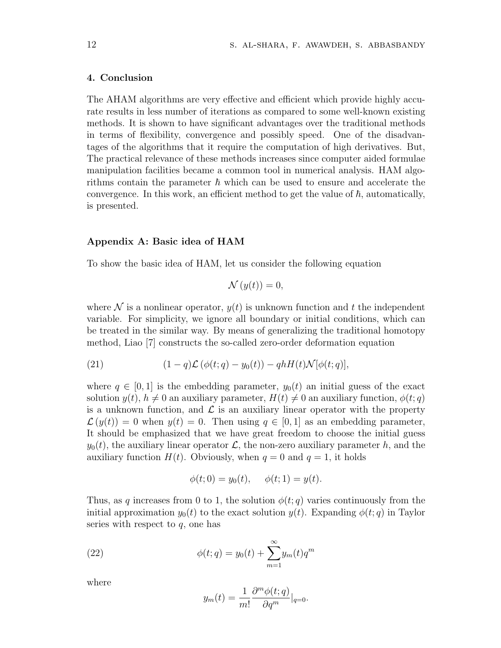#### **4. Conclusion**

The AHAM algorithms are very effective and efficient which provide highly accurate results in less number of iterations as compared to some well-known existing methods. It is shown to have significant advantages over the traditional methods in terms of flexibility, convergence and possibly speed. One of the disadvantages of the algorithms that it require the computation of high derivatives. But, The practical relevance of these methods increases since computer aided formulae manipulation facilities became a common tool in numerical analysis. HAM algorithms contain the parameter  $\hbar$  which can be used to ensure and accelerate the convergence. In this work, an efficient method to get the value of  $\hbar$ , automatically, is presented.

#### **Appendix A: Basic idea of HAM**

To show the basic idea of HAM, let us consider the following equation

$$
\mathcal{N}(y(t)) = 0,
$$

where  $\mathcal N$  is a nonlinear operator,  $y(t)$  is unknown function and t the independent variable. For simplicity, we ignore all boundary or initial conditions, which can be treated in the similar way. By means of generalizing the traditional homotopy method, Liao [7] constructs the so-called zero-order deformation equation

(21) 
$$
(1-q)\mathcal{L}(\phi(t;q)-y_0(t)) - qhH(t)\mathcal{N}[\phi(t;q)],
$$

where  $q \in [0, 1]$  is the embedding parameter,  $y_0(t)$  an initial guess of the exact solution  $y(t)$ ,  $h \neq 0$  an auxiliary parameter,  $H(t) \neq 0$  an auxiliary function,  $\phi(t; q)$ is a unknown function, and  $\mathcal L$  is an auxiliary linear operator with the property  $\mathcal{L}(y(t)) = 0$  when  $y(t) = 0$ . Then using  $q \in [0, 1]$  as an embedding parameter, It should be emphasized that we have great freedom to choose the initial guess  $y_0(t)$ , the auxiliary linear operator  $\mathcal{L}$ , the non-zero auxiliary parameter *h*, and the auxiliary function  $H(t)$ . Obviously, when  $q = 0$  and  $q = 1$ , it holds

$$
\phi(t;0) = y_0(t), \quad \phi(t;1) = y(t).
$$

Thus, as *q* increases from 0 to 1, the solution  $\phi(t; q)$  varies continuously from the initial approximation  $y_0(t)$  to the exact solution  $y(t)$ . Expanding  $\phi(t; q)$  in Taylor series with respect to *q*, one has

(22) 
$$
\phi(t;q) = y_0(t) + \sum_{m=1}^{\infty} y_m(t) q^m
$$

where

$$
y_m(t) = \frac{1}{m!} \frac{\partial^m \phi(t; q)}{\partial q^m} \Big|_{q=0}.
$$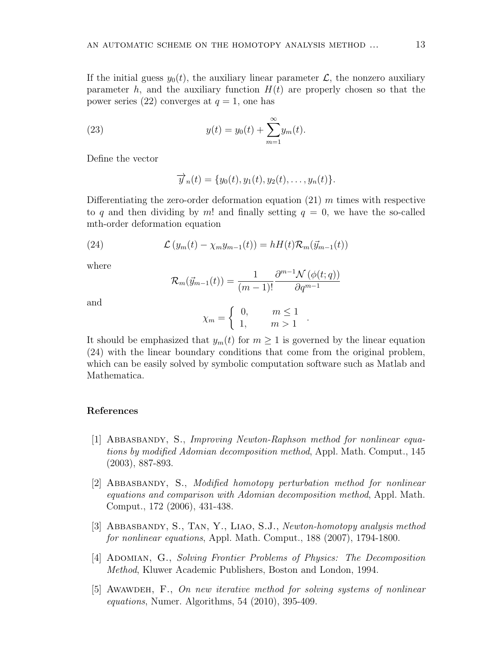If the initial guess  $y_0(t)$ , the auxiliary linear parameter  $\mathcal{L}$ , the nonzero auxiliary parameter  $h$ , and the auxiliary function  $H(t)$  are properly chosen so that the power series (22) converges at  $q = 1$ , one has

(23) 
$$
y(t) = y_0(t) + \sum_{m=1}^{\infty} y_m(t).
$$

Define the vector

$$
\overrightarrow{y}_n(t) = \{y_0(t), y_1(t), y_2(t), \dots, y_n(t)\}.
$$

Differentiating the zero-order deformation equation (21) *m* times with respective to q and then dividing by  $m!$  and finally setting  $q = 0$ , we have the so-called mth-order deformation equation

(24) 
$$
\mathcal{L}(y_m(t) - \chi_m y_{m-1}(t)) = hH(t)\mathcal{R}_m(\vec{y}_{m-1}(t))
$$

where

$$
\mathcal{R}_m(\vec{y}_{m-1}(t)) = \frac{1}{(m-1)!} \frac{\partial^{m-1} \mathcal{N} \left( \phi(t; q) \right)}{\partial q^{m-1}}
$$

and

$$
\chi_m = \begin{cases} 0, & m \le 1 \\ 1, & m > 1 \end{cases}.
$$

It should be emphasized that  $y_m(t)$  for  $m \geq 1$  is governed by the linear equation (24) with the linear boundary conditions that come from the original problem, which can be easily solved by symbolic computation software such as Matlab and Mathematica.

### **References**

- [1] Abbasbandy, S., *Improving Newton-Raphson method for nonlinear equations by modified Adomian decomposition method*, Appl. Math. Comput., 145 (2003), 887-893.
- [2] Abbasbandy, S., *Modified homotopy perturbation method for nonlinear equations and comparison with Adomian decomposition method*, Appl. Math. Comput., 172 (2006), 431-438.
- [3] Abbasbandy, S., Tan, Y., Liao, S.J., *Newton-homotopy analysis method for nonlinear equations*, Appl. Math. Comput., 188 (2007), 1794-1800.
- [4] Adomian, G., *Solving Frontier Problems of Physics: The Decomposition Method*, Kluwer Academic Publishers, Boston and London, 1994.
- [5] Awawdeh, F., *On new iterative method for solving systems of nonlinear equations*, Numer. Algorithms, 54 (2010), 395-409.